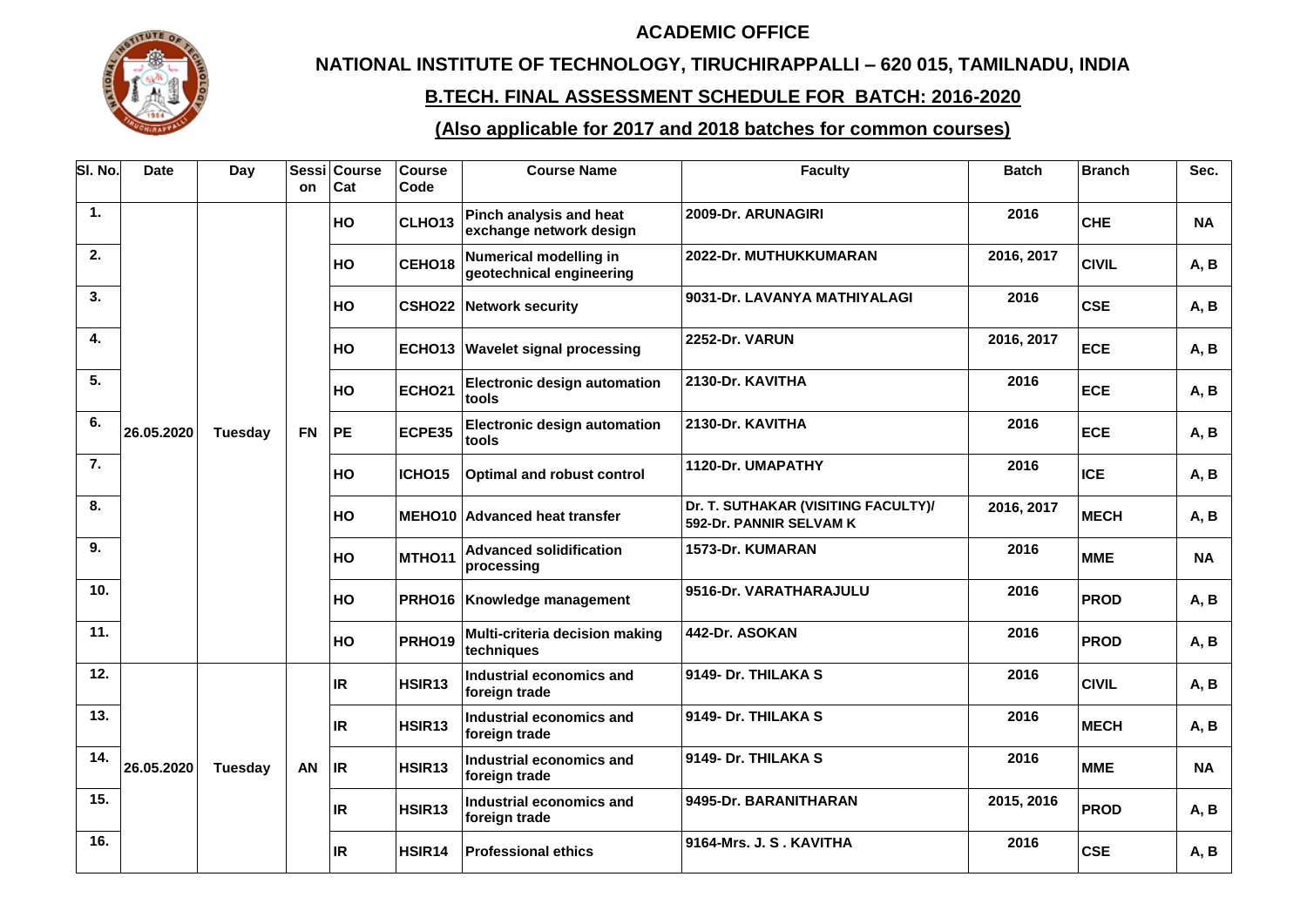## **ACADEMIC OFFICE**



## **NATIONAL INSTITUTE OF TECHNOLOGY, TIRUCHIRAPPALLI – 620 015, TAMILNADU, INDIA**

## **B.TECH. FINAL ASSESSMENT SCHEDULE FOR BATCH: 2016-2020**

## **(Also applicable for 2017 and 2018 batches for common courses)**

| SI. No. | <b>Date</b> | Day            | Sessi<br>on | <b>Course</b><br>Cat | <b>Course</b><br>Code | <b>Course Name</b>                                        | <b>Faculty</b>                                                 | <b>Batch</b>   | <b>Branch</b> | Sec.        |      |    |        |                                              |                        |      |             |           |
|---------|-------------|----------------|-------------|----------------------|-----------------------|-----------------------------------------------------------|----------------------------------------------------------------|----------------|---------------|-------------|------|----|--------|----------------------------------------------|------------------------|------|-------------|-----------|
| 1.      |             |                |             | HO                   | CLHO13                | Pinch analysis and heat<br>exchange network design        | 2009-Dr. ARUNAGIRI                                             | 2016           | <b>CHE</b>    | <b>NA</b>   |      |    |        |                                              |                        |      |             |           |
| 2.      |             |                |             | HO                   | CEHO18                | <b>Numerical modelling in</b><br>geotechnical engineering | 2022-Dr. MUTHUKKUMARAN                                         | 2016, 2017     | <b>CIVIL</b>  | A, B        |      |    |        |                                              |                        |      |             |           |
| 3.      |             |                |             | HO                   |                       | <b>CSHO22 Network security</b>                            | 9031-Dr. LAVANYA MATHIYALAGI                                   | 2016           | <b>CSE</b>    | A, B        |      |    |        |                                              |                        |      |             |           |
| 4.      |             |                |             | HO                   |                       | <b>ECHO13 Wavelet signal processing</b>                   | 2252-Dr. VARUN                                                 | 2016, 2017     | <b>ECE</b>    | A, B        |      |    |        |                                              |                        |      |             |           |
| 5.      |             |                |             | HO                   | <b>ECHO21</b>         | <b>Electronic design automation</b><br>tools              | 2130-Dr. KAVITHA                                               | 2016           | <b>ECE</b>    | A, B        |      |    |        |                                              |                        |      |             |           |
| 6.      | 26.05.2020  | <b>Tuesday</b> | <b>FN</b>   | <b>PE</b>            | ECPE35                | <b>Electronic design automation</b><br>tools              | 2130-Dr. KAVITHA                                               | 2016           | <b>ECE</b>    | A, B        |      |    |        |                                              |                        |      |             |           |
| 7.      |             |                |             | <b>HO</b>            | ICHO <sub>15</sub>    | <b>Optimal and robust control</b>                         | 1120-Dr. UMAPATHY                                              | 2016           | <b>ICE</b>    | A, B        |      |    |        |                                              |                        |      |             |           |
| 8.      |             |                |             | HO                   |                       | <b>MEHO10 Advanced heat transfer</b>                      | Dr. T. SUTHAKAR (VISITING FACULTY)/<br>592-Dr. PANNIR SELVAM K | 2016, 2017     | <b>MECH</b>   | A, B        |      |    |        |                                              |                        |      |             |           |
| 9.      |             |                |             |                      |                       |                                                           |                                                                |                |               |             |      | HO | MTHO11 | <b>Advanced solidification</b><br>processing | 1573-Dr. KUMARAN       | 2016 | <b>MME</b>  | <b>NA</b> |
| 10.     |             |                |             |                      |                       |                                                           |                                                                |                |               |             |      | HO |        | PRHO16 Knowledge management                  | 9516-Dr. VARATHARAJULU | 2016 | <b>PROD</b> | A, B      |
| 11.     |             |                |             |                      | HO                    | <b>PRHO19</b>                                             | Multi-criteria decision making<br>techniques                   | 442-Dr. ASOKAN | 2016          | <b>PROD</b> | A, B |    |        |                                              |                        |      |             |           |
| 12.     |             |                |             | <b>IR</b>            | HSIR <sub>13</sub>    | Industrial economics and<br>foreign trade                 | 9149- Dr. THILAKA S                                            | 2016           | <b>CIVIL</b>  | A, B        |      |    |        |                                              |                        |      |             |           |
| 13.     |             |                |             | <b>IR</b>            | HSIR13                | Industrial economics and<br>foreign trade                 | 9149- Dr. THILAKA S                                            | 2016           | <b>MECH</b>   | A, B        |      |    |        |                                              |                        |      |             |           |
| 14.     | 26.05.2020  | Tuesday        | AN          | <b>IR</b>            | HSIR13                | Industrial economics and<br>foreign trade                 | 9149- Dr. THILAKA S                                            | 2016           | <b>MME</b>    | <b>NA</b>   |      |    |        |                                              |                        |      |             |           |
| 15.     |             |                |             | IR.                  | HSIR13                | Industrial economics and<br>foreign trade                 | 9495-Dr. BARANITHARAN                                          | 2015, 2016     | <b>PROD</b>   | A, B        |      |    |        |                                              |                        |      |             |           |
| 16.     |             |                |             | <b>IR</b>            | HSIR14                | <b>Professional ethics</b>                                | 9164-Mrs. J. S. KAVITHA                                        | 2016           | <b>CSE</b>    | A, B        |      |    |        |                                              |                        |      |             |           |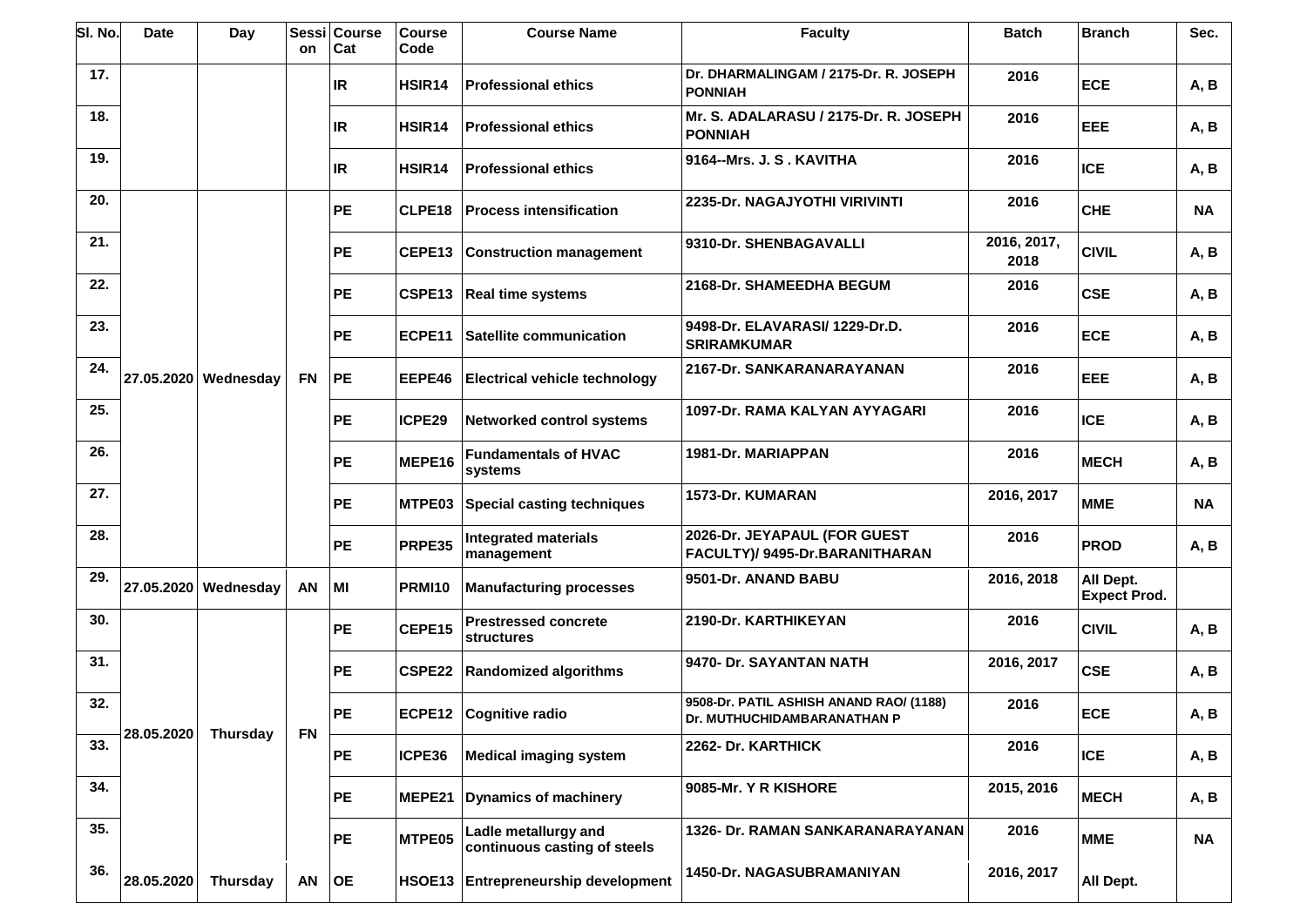| SI. No. | <b>Date</b> | Day                  | <b>Sessi</b><br>on           | <b>Course</b><br>Cat | <b>Course</b><br>Code | <b>Course Name</b>                                   | <b>Faculty</b>                                                 | <b>Batch</b>        | <b>Branch</b>                    | Sec.       |           |  |  |  |  |           |  |                               |                                                                        |      |            |               |                              |                         |            |            |      |
|---------|-------------|----------------------|------------------------------|----------------------|-----------------------|------------------------------------------------------|----------------------------------------------------------------|---------------------|----------------------------------|------------|-----------|--|--|--|--|-----------|--|-------------------------------|------------------------------------------------------------------------|------|------------|---------------|------------------------------|-------------------------|------------|------------|------|
| 17.     |             |                      |                              | <b>IR</b>            | HSIR <sub>14</sub>    | <b>Professional ethics</b>                           | Dr. DHARMALINGAM / 2175-Dr. R. JOSEPH<br><b>PONNIAH</b>        | 2016                | <b>ECE</b>                       | A, B       |           |  |  |  |  |           |  |                               |                                                                        |      |            |               |                              |                         |            |            |      |
| 18.     |             |                      |                              | <b>IR</b>            | HSIR <sub>14</sub>    | <b>Professional ethics</b>                           | Mr. S. ADALARASU / 2175-Dr. R. JOSEPH<br><b>PONNIAH</b>        | 2016                | <b>EEE</b>                       | A, B       |           |  |  |  |  |           |  |                               |                                                                        |      |            |               |                              |                         |            |            |      |
| 19.     |             |                      |                              | <b>IR</b>            | HSIR <sub>14</sub>    | <b>Professional ethics</b>                           | 9164--Mrs. J. S . KAVITHA                                      | 2016                | <b>ICE</b>                       | A, B       |           |  |  |  |  |           |  |                               |                                                                        |      |            |               |                              |                         |            |            |      |
| 20.     |             |                      |                              | <b>PE</b>            | CLPE18                | <b>Process intensification</b>                       | 2235-Dr. NAGAJYOTHI VIRIVINTI                                  | 2016                | <b>CHE</b>                       | <b>NA</b>  |           |  |  |  |  |           |  |                               |                                                                        |      |            |               |                              |                         |            |            |      |
| 21.     |             |                      |                              | <b>PE</b>            | CEPE13                | <b>Construction management</b>                       | 9310-Dr. SHENBAGAVALLI                                         | 2016, 2017,<br>2018 | <b>CIVIL</b>                     | A, B       |           |  |  |  |  |           |  |                               |                                                                        |      |            |               |                              |                         |            |            |      |
| 22.     |             |                      |                              | <b>PE</b>            | CSPE13                | <b>Real time systems</b>                             | 2168-Dr. SHAMEEDHA BEGUM                                       | 2016                | <b>CSE</b>                       | A, B       |           |  |  |  |  |           |  |                               |                                                                        |      |            |               |                              |                         |            |            |      |
| 23.     |             |                      |                              | <b>PE</b>            | ECPE11                | Satellite communication                              | 9498-Dr. ELAVARASI/ 1229-Dr.D.<br><b>SRIRAMKUMAR</b>           | 2016                | <b>ECE</b>                       | A, B       |           |  |  |  |  |           |  |                               |                                                                        |      |            |               |                              |                         |            |            |      |
| 24.     |             | 27.05.2020 Wednesday | <b>FN</b>                    | <b>PE</b>            | EEPE46                | <b>Electrical vehicle technology</b>                 | 2167-Dr. SANKARANARAYANAN                                      | 2016                | <b>EEE</b>                       | A, B       |           |  |  |  |  |           |  |                               |                                                                        |      |            |               |                              |                         |            |            |      |
| 25.     |             |                      |                              | <b>PE</b>            | ICPE29                | <b>Networked control systems</b>                     | 1097-Dr. RAMA KALYAN AYYAGARI                                  | 2016                | <b>ICE</b>                       | A, B       |           |  |  |  |  |           |  |                               |                                                                        |      |            |               |                              |                         |            |            |      |
| 26.     |             |                      |                              | <b>PE</b>            | MEPE16                | <b>Fundamentals of HVAC</b><br>systems               | 1981-Dr. MARIAPPAN                                             | 2016                | <b>MECH</b>                      | A, B       |           |  |  |  |  |           |  |                               |                                                                        |      |            |               |                              |                         |            |            |      |
| 27.     |             |                      |                              |                      | <b>PE</b>             | MTPE03                                               | <b>Special casting techniques</b>                              | 1573-Dr. KUMARAN    | 2016, 2017                       | <b>MME</b> | <b>NA</b> |  |  |  |  |           |  |                               |                                                                        |      |            |               |                              |                         |            |            |      |
| 28.     |             |                      |                              | <b>PE</b>            | PRPE35                | <b>Integrated materials</b><br>management            | 2026-Dr. JEYAPAUL (FOR GUEST<br>FACULTY)/ 9495-Dr.BARANITHARAN | 2016                | <b>PROD</b>                      | A, B       |           |  |  |  |  |           |  |                               |                                                                        |      |            |               |                              |                         |            |            |      |
| 29.     |             | 27.05.2020 Wednesday | AN                           | MI                   | <b>PRMI10</b>         | <b>Manufacturing processes</b>                       | 9501-Dr. ANAND BABU                                            | 2016, 2018          | All Dept.<br><b>Expect Prod.</b> |            |           |  |  |  |  |           |  |                               |                                                                        |      |            |               |                              |                         |            |            |      |
| 30.     |             |                      |                              | <b>PE</b>            | CEPE15                | <b>Prestressed concrete</b><br><b>structures</b>     | 2190-Dr. KARTHIKEYAN                                           | 2016                | <b>CIVIL</b>                     | A, B       |           |  |  |  |  |           |  |                               |                                                                        |      |            |               |                              |                         |            |            |      |
| 31.     | 28.05.2020  |                      |                              |                      |                       |                                                      |                                                                |                     |                                  |            |           |  |  |  |  |           |  |                               |                                                                        |      | <b>PE</b>  | <b>CSPE22</b> | <b>Randomized algorithms</b> | 9470- Dr. SAYANTAN NATH | 2016, 2017 | <b>CSE</b> | A, B |
| 32.     |             |                      | <b>Thursday</b><br><b>FN</b> |                      |                       |                                                      |                                                                |                     |                                  |            |           |  |  |  |  | <b>PE</b> |  | <b>ECPE12 Cognitive radio</b> | 9508-Dr. PATIL ASHISH ANAND RAO/ (1188)<br>Dr. MUTHUCHIDAMBARANATHAN P | 2016 | <b>ECE</b> | A, B          |                              |                         |            |            |      |
| 33.     |             |                      |                              | PE                   | ICPE36                | <b>Medical imaging system</b>                        | 2262- Dr. KARTHICK                                             | 2016                | <b>ICE</b>                       | A, B       |           |  |  |  |  |           |  |                               |                                                                        |      |            |               |                              |                         |            |            |      |
| 34.     |             |                      |                              | <b>PE</b>            | MEPE21                | <b>Dynamics of machinery</b>                         | 9085-Mr. Y R KISHORE                                           | 2015, 2016          | <b>MECH</b>                      | A, B       |           |  |  |  |  |           |  |                               |                                                                        |      |            |               |                              |                         |            |            |      |
| 35.     |             |                      |                              | <b>PE</b>            | MTPE05                | Ladle metallurgy and<br>continuous casting of steels | 1326- Dr. RAMAN SANKARANARAYANAN                               | 2016                | <b>MME</b>                       | <b>NA</b>  |           |  |  |  |  |           |  |                               |                                                                        |      |            |               |                              |                         |            |            |      |
| 36.     | 28.05.2020  | <b>Thursday</b>      | AN                           | <b>OE</b>            |                       | HSOE13 Entrepreneurship development                  | 1450-Dr. NAGASUBRAMANIYAN                                      | 2016, 2017          | All Dept.                        |            |           |  |  |  |  |           |  |                               |                                                                        |      |            |               |                              |                         |            |            |      |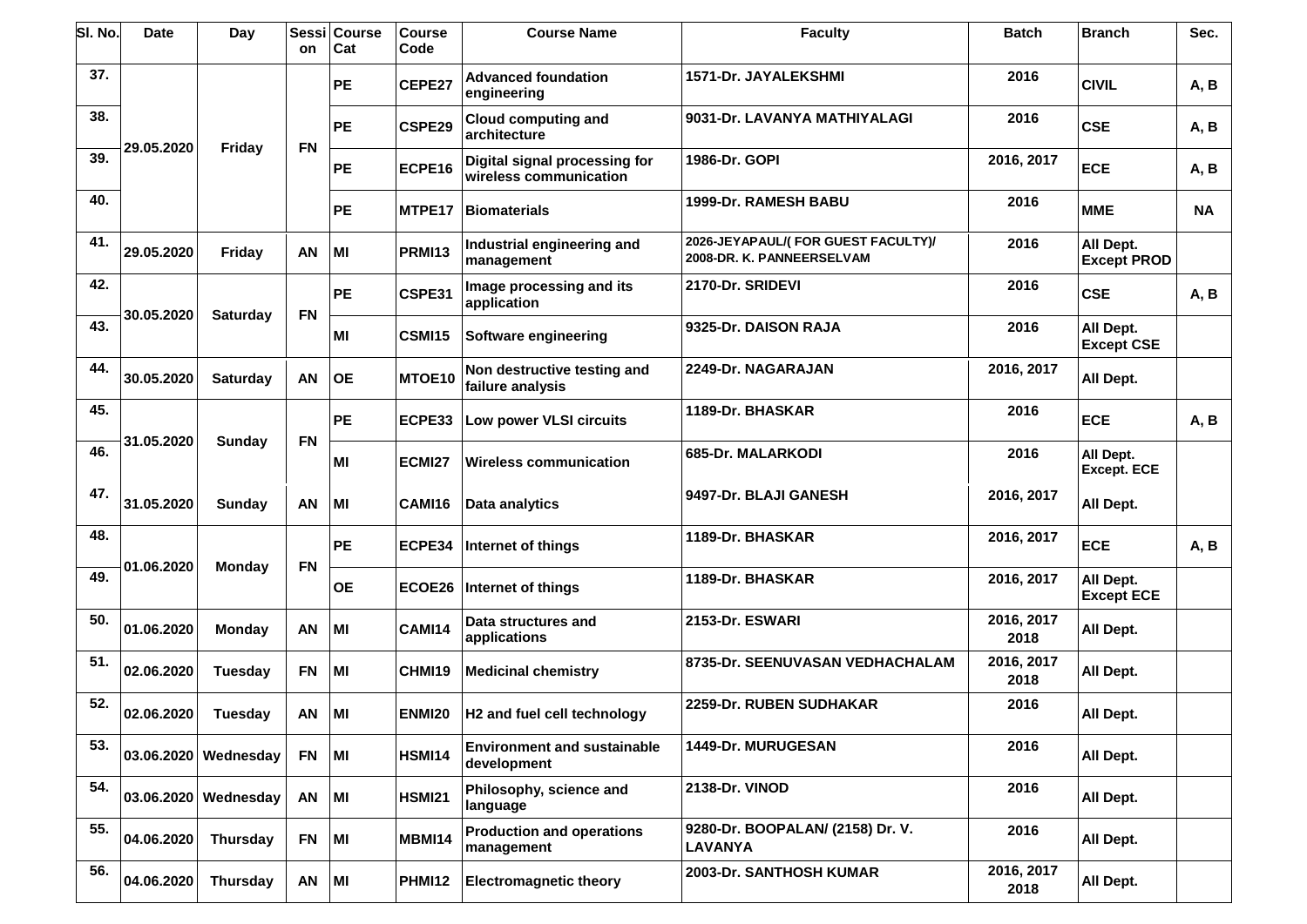| SI. No | <b>Date</b> | Day                  | <b>Sessi</b><br>on | <b>Course</b><br>Cat | <b>Course</b><br>Code | <b>Course Name</b>                                      | <b>Faculty</b>                                                  | <b>Batch</b>       | <b>Branch</b>                   | Sec.      |
|--------|-------------|----------------------|--------------------|----------------------|-----------------------|---------------------------------------------------------|-----------------------------------------------------------------|--------------------|---------------------------------|-----------|
| 37.    |             | Friday               |                    | PE                   | CEPE27                | <b>Advanced foundation</b><br>engineering               | <b>1571-Dr. JAYALEKSHMI</b>                                     | 2016               | <b>CIVIL</b>                    | A, B      |
| 38.    | 29.05.2020  |                      | <b>FN</b>          | <b>PE</b>            | CSPE29                | <b>Cloud computing and</b><br>architecture              | 9031-Dr. LAVANYA MATHIYALAGI                                    | 2016               | <b>CSE</b>                      | A, B      |
| 39.    |             |                      |                    | PE                   | ECPE16                | Digital signal processing for<br>wireless communication | 1986-Dr. GOPI                                                   | 2016, 2017         | <b>ECE</b>                      | A, B      |
| 40.    |             |                      |                    | PE                   | MTPE17                | <b>Biomaterials</b>                                     | 1999-Dr. RAMESH BABU                                            | 2016               | <b>MME</b>                      | <b>NA</b> |
| 41.    | 29.05.2020  | Friday               | <b>AN</b>          | MI                   | <b>PRMI13</b>         | Industrial engineering and<br>management                | 2026-JEYAPAUL/(FOR GUEST FACULTY)/<br>2008-DR. K. PANNEERSELVAM | 2016               | All Dept.<br><b>Except PROD</b> |           |
| 42.    |             |                      | <b>FN</b>          | <b>PE</b>            | CSPE31                | Image processing and its<br>application                 | 2170-Dr. SRIDEVI                                                | 2016               | <b>CSE</b>                      | A, B      |
| 43.    | 30.05.2020  | <b>Saturday</b>      |                    | MI                   | <b>CSMI15</b>         | Software engineering                                    | 9325-Dr. DAISON RAJA                                            | 2016               | All Dept.<br><b>Except CSE</b>  |           |
| 44.    | 30.05.2020  | <b>Saturday</b>      | AN                 | <b>OE</b>            | MTOE10                | Non destructive testing and<br>failure analysis         | 2249-Dr. NAGARAJAN                                              | 2016, 2017         | All Dept.                       |           |
| 45.    |             |                      | <b>FN</b>          | <b>PE</b>            | ECPE33                | Low power VLSI circuits                                 | 1189-Dr. BHASKAR                                                | 2016               | <b>ECE</b>                      | A, B      |
| 46.    | 31.05.2020  | Sunday               |                    | MI                   | <b>ECMI27</b>         | <b>Wireless communication</b>                           | 685-Dr. MALARKODI                                               | 2016               | All Dept.<br><b>Except. ECE</b> |           |
| 47.    | 31.05.2020  | <b>Sunday</b>        | <b>AN</b>          | MI                   | CAMI16                | Data analytics                                          | 9497-Dr. BLAJI GANESH                                           | 2016, 2017         | All Dept.                       |           |
| 48.    |             |                      |                    | PE                   | ECPE34                | Internet of things                                      | 1189-Dr. BHASKAR                                                | 2016, 2017         | <b>ECE</b>                      | A, B      |
| 49.    | 01.06.2020  | <b>Monday</b>        | <b>FN</b>          | <b>OE</b>            | ECOE26                | Internet of things                                      | 1189-Dr. BHASKAR                                                | 2016, 2017         | All Dept.<br><b>Except ECE</b>  |           |
| 50.    | 01.06.2020  | <b>Monday</b>        | AN                 | MI                   | CAMI14                | Data structures and<br>applications                     | 2153-Dr. ESWARI                                                 | 2016, 2017<br>2018 | All Dept.                       |           |
| 51.    | 02.06.2020  | <b>Tuesday</b>       | <b>FN</b>          | MI                   | CHMI19                | <b>Medicinal chemistry</b>                              | 8735-Dr. SEENUVASAN VEDHACHALAM                                 | 2016, 2017<br>2018 | All Dept.                       |           |
| 52.    | 02.06.2020  | Tuesday              | AN                 | MI                   |                       | ENMI20   H2 and fuel cell technology                    | 2259-Dr. RUBEN SUDHAKAR                                         | 2016               | All Dept.                       |           |
| 53.    |             | 03.06.2020 Wednesday | <b>FN</b>          | MI                   | <b>HSMI14</b>         | <b>Environment and sustainable</b><br>development       | 1449-Dr. MURUGESAN                                              | 2016               | All Dept.                       |           |
| 54.    |             | 03.06.2020 Wednesday | AN                 | MI                   | <b>HSMI21</b>         | Philosophy, science and<br>language                     | 2138-Dr. VINOD                                                  | 2016               | All Dept.                       |           |
| 55.    | 04.06.2020  | Thursday             | <b>FN</b>          | MI                   | <b>MBMI14</b>         | <b>Production and operations</b><br>management          | 9280-Dr. BOOPALAN/ (2158) Dr. V.<br><b>LAVANYA</b>              | 2016               | All Dept.                       |           |
| 56.    | 04.06.2020  | <b>Thursday</b>      | AN                 | MI                   | <b>PHMI12</b>         | <b>Electromagnetic theory</b>                           | 2003-Dr. SANTHOSH KUMAR                                         | 2016, 2017<br>2018 | All Dept.                       |           |